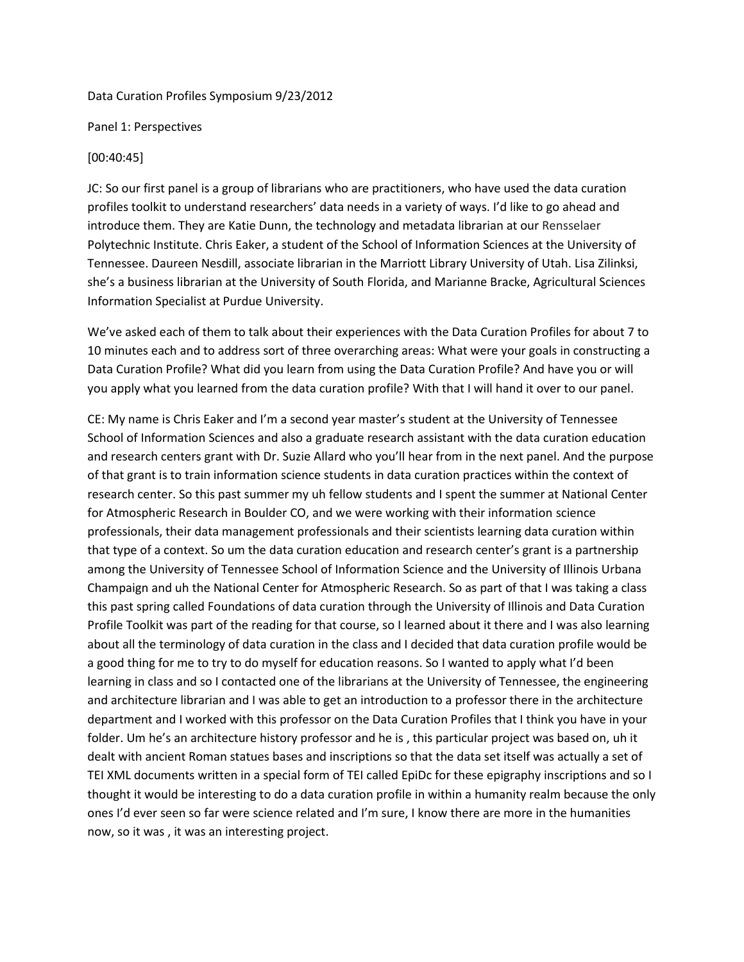#### Data Curation Profiles Symposium 9/23/2012

Panel 1: Perspectives

### [00:40:45]

JC: So our first panel is a group of librarians who are practitioners, who have used the data curation profiles toolkit to understand researchers' data needs in a variety of ways. I'd like to go ahead and introduce them. They are Katie Dunn, the technology and metadata librarian at our Rensselaer Polytechnic Institute. Chris Eaker, a student of the School of Information Sciences at the University of Tennessee. Daureen Nesdill, associate librarian in the Marriott Library University of Utah. Lisa Zilinksi, she's a business librarian at the University of South Florida, and Marianne Bracke, Agricultural Sciences Information Specialist at Purdue University.

We've asked each of them to talk about their experiences with the Data Curation Profiles for about 7 to 10 minutes each and to address sort of three overarching areas: What were your goals in constructing a Data Curation Profile? What did you learn from using the Data Curation Profile? And have you or will you apply what you learned from the data curation profile? With that I will hand it over to our panel.

CE: My name is Chris Eaker and I'm a second year master's student at the University of Tennessee School of Information Sciences and also a graduate research assistant with the data curation education and research centers grant with Dr. Suzie Allard who you'll hear from in the next panel. And the purpose of that grant is to train information science students in data curation practices within the context of research center. So this past summer my uh fellow students and I spent the summer at National Center for Atmospheric Research in Boulder CO, and we were working with their information science professionals, their data management professionals and their scientists learning data curation within that type of a context. So um the data curation education and research center's grant is a partnership among the University of Tennessee School of Information Science and the University of Illinois Urbana Champaign and uh the National Center for Atmospheric Research. So as part of that I was taking a class this past spring called Foundations of data curation through the University of Illinois and Data Curation Profile Toolkit was part of the reading for that course, so I learned about it there and I was also learning about all the terminology of data curation in the class and I decided that data curation profile would be a good thing for me to try to do myself for education reasons. So I wanted to apply what I'd been learning in class and so I contacted one of the librarians at the University of Tennessee, the engineering and architecture librarian and I was able to get an introduction to a professor there in the architecture department and I worked with this professor on the Data Curation Profiles that I think you have in your folder. Um he's an architecture history professor and he is , this particular project was based on, uh it dealt with ancient Roman statues bases and inscriptions so that the data set itself was actually a set of TEI XML documents written in a special form of TEI called EpiDc for these epigraphy inscriptions and so I thought it would be interesting to do a data curation profile in within a humanity realm because the only ones I'd ever seen so far were science related and I'm sure, I know there are more in the humanities now, so it was , it was an interesting project.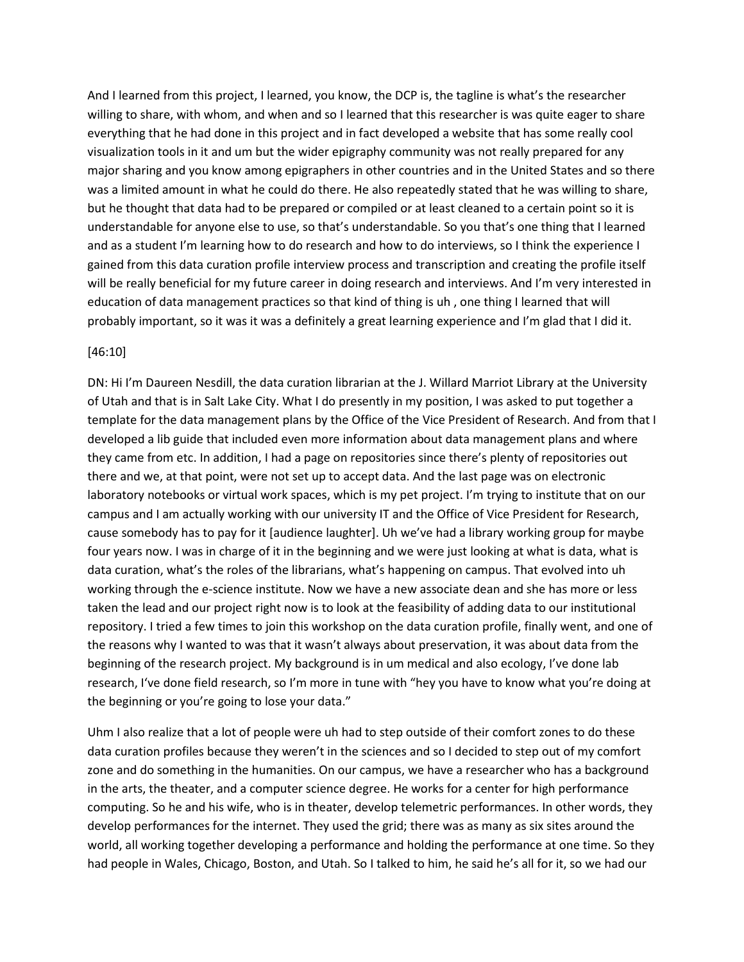And I learned from this project, I learned, you know, the DCP is, the tagline is what's the researcher willing to share, with whom, and when and so I learned that this researcher is was quite eager to share everything that he had done in this project and in fact developed a website that has some really cool visualization tools in it and um but the wider epigraphy community was not really prepared for any major sharing and you know among epigraphers in other countries and in the United States and so there was a limited amount in what he could do there. He also repeatedly stated that he was willing to share, but he thought that data had to be prepared or compiled or at least cleaned to a certain point so it is understandable for anyone else to use, so that's understandable. So you that's one thing that I learned and as a student I'm learning how to do research and how to do interviews, so I think the experience I gained from this data curation profile interview process and transcription and creating the profile itself will be really beneficial for my future career in doing research and interviews. And I'm very interested in education of data management practices so that kind of thing is uh , one thing I learned that will probably important, so it was it was a definitely a great learning experience and I'm glad that I did it.

#### [46:10]

DN: Hi I'm Daureen Nesdill, the data curation librarian at the J. Willard Marriot Library at the University of Utah and that is in Salt Lake City. What I do presently in my position, I was asked to put together a template for the data management plans by the Office of the Vice President of Research. And from that I developed a lib guide that included even more information about data management plans and where they came from etc. In addition, I had a page on repositories since there's plenty of repositories out there and we, at that point, were not set up to accept data. And the last page was on electronic laboratory notebooks or virtual work spaces, which is my pet project. I'm trying to institute that on our campus and I am actually working with our university IT and the Office of Vice President for Research, cause somebody has to pay for it [audience laughter]. Uh we've had a library working group for maybe four years now. I was in charge of it in the beginning and we were just looking at what is data, what is data curation, what's the roles of the librarians, what's happening on campus. That evolved into uh working through the e-science institute. Now we have a new associate dean and she has more or less taken the lead and our project right now is to look at the feasibility of adding data to our institutional repository. I tried a few times to join this workshop on the data curation profile, finally went, and one of the reasons why I wanted to was that it wasn't always about preservation, it was about data from the beginning of the research project. My background is in um medical and also ecology, I've done lab research, I've done field research, so I'm more in tune with "hey you have to know what you're doing at the beginning or you're going to lose your data."

Uhm I also realize that a lot of people were uh had to step outside of their comfort zones to do these data curation profiles because they weren't in the sciences and so I decided to step out of my comfort zone and do something in the humanities. On our campus, we have a researcher who has a background in the arts, the theater, and a computer science degree. He works for a center for high performance computing. So he and his wife, who is in theater, develop telemetric performances. In other words, they develop performances for the internet. They used the grid; there was as many as six sites around the world, all working together developing a performance and holding the performance at one time. So they had people in Wales, Chicago, Boston, and Utah. So I talked to him, he said he's all for it, so we had our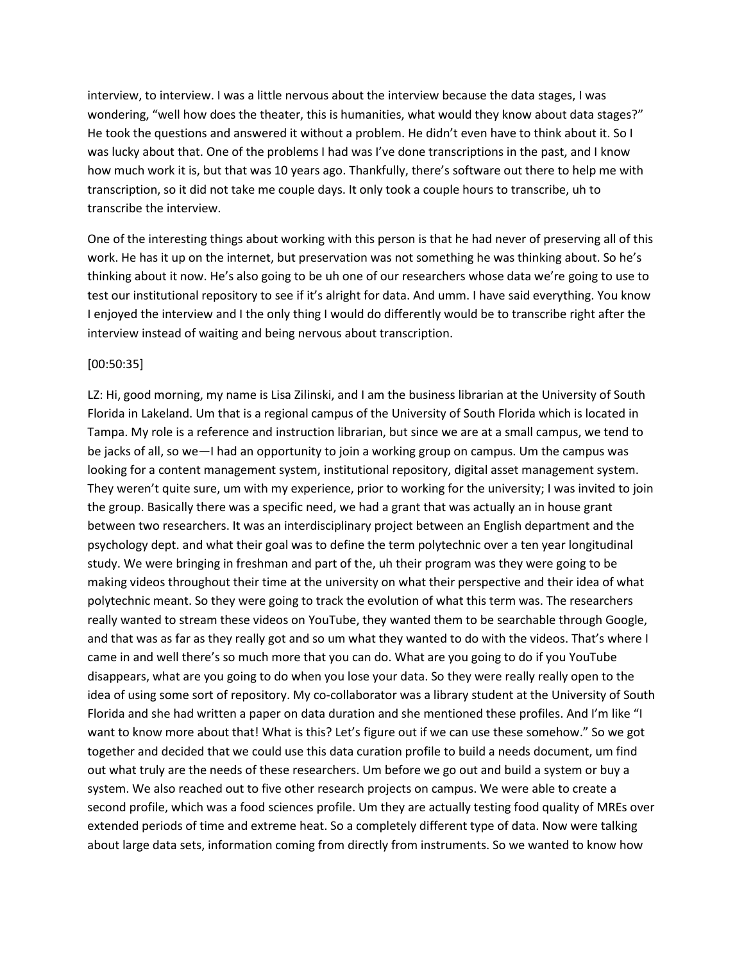interview, to interview. I was a little nervous about the interview because the data stages, I was wondering, "well how does the theater, this is humanities, what would they know about data stages?" He took the questions and answered it without a problem. He didn't even have to think about it. So I was lucky about that. One of the problems I had was I've done transcriptions in the past, and I know how much work it is, but that was 10 years ago. Thankfully, there's software out there to help me with transcription, so it did not take me couple days. It only took a couple hours to transcribe, uh to transcribe the interview.

One of the interesting things about working with this person is that he had never of preserving all of this work. He has it up on the internet, but preservation was not something he was thinking about. So he's thinking about it now. He's also going to be uh one of our researchers whose data we're going to use to test our institutional repository to see if it's alright for data. And umm. I have said everything. You know I enjoyed the interview and I the only thing I would do differently would be to transcribe right after the interview instead of waiting and being nervous about transcription.

#### [00:50:35]

LZ: Hi, good morning, my name is Lisa Zilinski, and I am the business librarian at the University of South Florida in Lakeland. Um that is a regional campus of the University of South Florida which is located in Tampa. My role is a reference and instruction librarian, but since we are at a small campus, we tend to be jacks of all, so we—I had an opportunity to join a working group on campus. Um the campus was looking for a content management system, institutional repository, digital asset management system. They weren't quite sure, um with my experience, prior to working for the university; I was invited to join the group. Basically there was a specific need, we had a grant that was actually an in house grant between two researchers. It was an interdisciplinary project between an English department and the psychology dept. and what their goal was to define the term polytechnic over a ten year longitudinal study. We were bringing in freshman and part of the, uh their program was they were going to be making videos throughout their time at the university on what their perspective and their idea of what polytechnic meant. So they were going to track the evolution of what this term was. The researchers really wanted to stream these videos on YouTube, they wanted them to be searchable through Google, and that was as far as they really got and so um what they wanted to do with the videos. That's where I came in and well there's so much more that you can do. What are you going to do if you YouTube disappears, what are you going to do when you lose your data. So they were really really open to the idea of using some sort of repository. My co-collaborator was a library student at the University of South Florida and she had written a paper on data duration and she mentioned these profiles. And I'm like "I want to know more about that! What is this? Let's figure out if we can use these somehow." So we got together and decided that we could use this data curation profile to build a needs document, um find out what truly are the needs of these researchers. Um before we go out and build a system or buy a system. We also reached out to five other research projects on campus. We were able to create a second profile, which was a food sciences profile. Um they are actually testing food quality of MREs over extended periods of time and extreme heat. So a completely different type of data. Now were talking about large data sets, information coming from directly from instruments. So we wanted to know how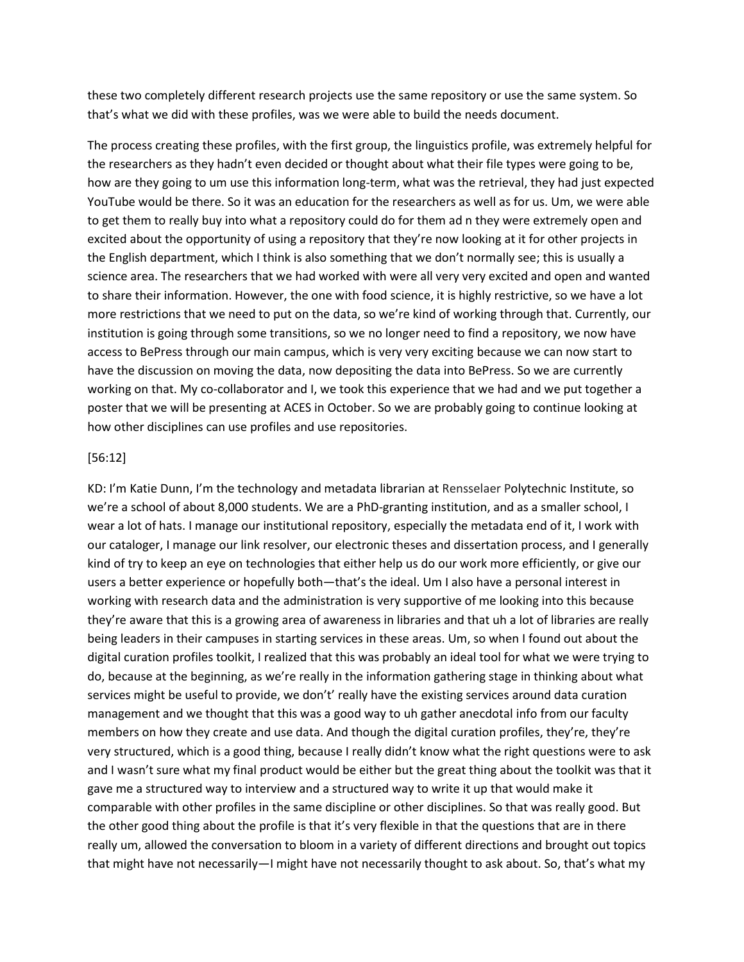these two completely different research projects use the same repository or use the same system. So that's what we did with these profiles, was we were able to build the needs document.

The process creating these profiles, with the first group, the linguistics profile, was extremely helpful for the researchers as they hadn't even decided or thought about what their file types were going to be, how are they going to um use this information long-term, what was the retrieval, they had just expected YouTube would be there. So it was an education for the researchers as well as for us. Um, we were able to get them to really buy into what a repository could do for them ad n they were extremely open and excited about the opportunity of using a repository that they're now looking at it for other projects in the English department, which I think is also something that we don't normally see; this is usually a science area. The researchers that we had worked with were all very very excited and open and wanted to share their information. However, the one with food science, it is highly restrictive, so we have a lot more restrictions that we need to put on the data, so we're kind of working through that. Currently, our institution is going through some transitions, so we no longer need to find a repository, we now have access to BePress through our main campus, which is very very exciting because we can now start to have the discussion on moving the data, now depositing the data into BePress. So we are currently working on that. My co-collaborator and I, we took this experience that we had and we put together a poster that we will be presenting at ACES in October. So we are probably going to continue looking at how other disciplines can use profiles and use repositories.

#### [56:12]

KD: I'm Katie Dunn, I'm the technology and metadata librarian at Rensselaer Polytechnic Institute, so we're a school of about 8,000 students. We are a PhD-granting institution, and as a smaller school, I wear a lot of hats. I manage our institutional repository, especially the metadata end of it, I work with our cataloger, I manage our link resolver, our electronic theses and dissertation process, and I generally kind of try to keep an eye on technologies that either help us do our work more efficiently, or give our users a better experience or hopefully both—that's the ideal. Um I also have a personal interest in working with research data and the administration is very supportive of me looking into this because they're aware that this is a growing area of awareness in libraries and that uh a lot of libraries are really being leaders in their campuses in starting services in these areas. Um, so when I found out about the digital curation profiles toolkit, I realized that this was probably an ideal tool for what we were trying to do, because at the beginning, as we're really in the information gathering stage in thinking about what services might be useful to provide, we don't' really have the existing services around data curation management and we thought that this was a good way to uh gather anecdotal info from our faculty members on how they create and use data. And though the digital curation profiles, they're, they're very structured, which is a good thing, because I really didn't know what the right questions were to ask and I wasn't sure what my final product would be either but the great thing about the toolkit was that it gave me a structured way to interview and a structured way to write it up that would make it comparable with other profiles in the same discipline or other disciplines. So that was really good. But the other good thing about the profile is that it's very flexible in that the questions that are in there really um, allowed the conversation to bloom in a variety of different directions and brought out topics that might have not necessarily—I might have not necessarily thought to ask about. So, that's what my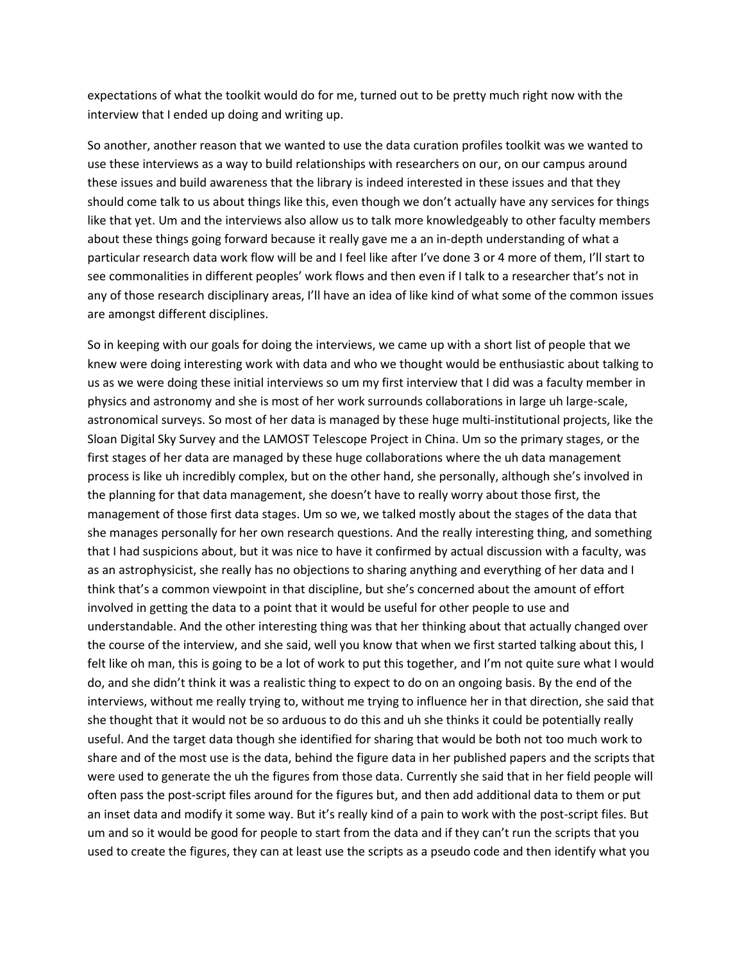expectations of what the toolkit would do for me, turned out to be pretty much right now with the interview that I ended up doing and writing up.

So another, another reason that we wanted to use the data curation profiles toolkit was we wanted to use these interviews as a way to build relationships with researchers on our, on our campus around these issues and build awareness that the library is indeed interested in these issues and that they should come talk to us about things like this, even though we don't actually have any services for things like that yet. Um and the interviews also allow us to talk more knowledgeably to other faculty members about these things going forward because it really gave me a an in-depth understanding of what a particular research data work flow will be and I feel like after I've done 3 or 4 more of them, I'll start to see commonalities in different peoples' work flows and then even if I talk to a researcher that's not in any of those research disciplinary areas, I'll have an idea of like kind of what some of the common issues are amongst different disciplines.

So in keeping with our goals for doing the interviews, we came up with a short list of people that we knew were doing interesting work with data and who we thought would be enthusiastic about talking to us as we were doing these initial interviews so um my first interview that I did was a faculty member in physics and astronomy and she is most of her work surrounds collaborations in large uh large-scale, astronomical surveys. So most of her data is managed by these huge multi-institutional projects, like the Sloan Digital Sky Survey and the LAMOST Telescope Project in China. Um so the primary stages, or the first stages of her data are managed by these huge collaborations where the uh data management process is like uh incredibly complex, but on the other hand, she personally, although she's involved in the planning for that data management, she doesn't have to really worry about those first, the management of those first data stages. Um so we, we talked mostly about the stages of the data that she manages personally for her own research questions. And the really interesting thing, and something that I had suspicions about, but it was nice to have it confirmed by actual discussion with a faculty, was as an astrophysicist, she really has no objections to sharing anything and everything of her data and I think that's a common viewpoint in that discipline, but she's concerned about the amount of effort involved in getting the data to a point that it would be useful for other people to use and understandable. And the other interesting thing was that her thinking about that actually changed over the course of the interview, and she said, well you know that when we first started talking about this, I felt like oh man, this is going to be a lot of work to put this together, and I'm not quite sure what I would do, and she didn't think it was a realistic thing to expect to do on an ongoing basis. By the end of the interviews, without me really trying to, without me trying to influence her in that direction, she said that she thought that it would not be so arduous to do this and uh she thinks it could be potentially really useful. And the target data though she identified for sharing that would be both not too much work to share and of the most use is the data, behind the figure data in her published papers and the scripts that were used to generate the uh the figures from those data. Currently she said that in her field people will often pass the post-script files around for the figures but, and then add additional data to them or put an inset data and modify it some way. But it's really kind of a pain to work with the post-script files. But um and so it would be good for people to start from the data and if they can't run the scripts that you used to create the figures, they can at least use the scripts as a pseudo code and then identify what you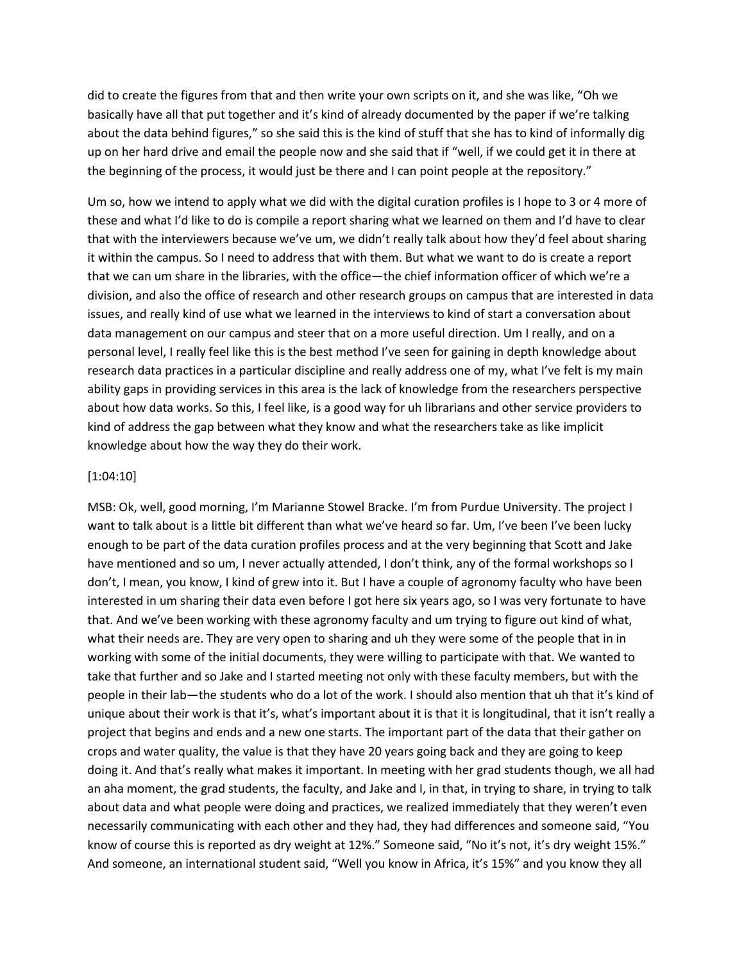did to create the figures from that and then write your own scripts on it, and she was like, "Oh we basically have all that put together and it's kind of already documented by the paper if we're talking about the data behind figures," so she said this is the kind of stuff that she has to kind of informally dig up on her hard drive and email the people now and she said that if "well, if we could get it in there at the beginning of the process, it would just be there and I can point people at the repository."

Um so, how we intend to apply what we did with the digital curation profiles is I hope to 3 or 4 more of these and what I'd like to do is compile a report sharing what we learned on them and I'd have to clear that with the interviewers because we've um, we didn't really talk about how they'd feel about sharing it within the campus. So I need to address that with them. But what we want to do is create a report that we can um share in the libraries, with the office—the chief information officer of which we're a division, and also the office of research and other research groups on campus that are interested in data issues, and really kind of use what we learned in the interviews to kind of start a conversation about data management on our campus and steer that on a more useful direction. Um I really, and on a personal level, I really feel like this is the best method I've seen for gaining in depth knowledge about research data practices in a particular discipline and really address one of my, what I've felt is my main ability gaps in providing services in this area is the lack of knowledge from the researchers perspective about how data works. So this, I feel like, is a good way for uh librarians and other service providers to kind of address the gap between what they know and what the researchers take as like implicit knowledge about how the way they do their work.

#### [1:04:10]

MSB: Ok, well, good morning, I'm Marianne Stowel Bracke. I'm from Purdue University. The project I want to talk about is a little bit different than what we've heard so far. Um, I've been I've been lucky enough to be part of the data curation profiles process and at the very beginning that Scott and Jake have mentioned and so um, I never actually attended, I don't think, any of the formal workshops so I don't, I mean, you know, I kind of grew into it. But I have a couple of agronomy faculty who have been interested in um sharing their data even before I got here six years ago, so I was very fortunate to have that. And we've been working with these agronomy faculty and um trying to figure out kind of what, what their needs are. They are very open to sharing and uh they were some of the people that in in working with some of the initial documents, they were willing to participate with that. We wanted to take that further and so Jake and I started meeting not only with these faculty members, but with the people in their lab—the students who do a lot of the work. I should also mention that uh that it's kind of unique about their work is that it's, what's important about it is that it is longitudinal, that it isn't really a project that begins and ends and a new one starts. The important part of the data that their gather on crops and water quality, the value is that they have 20 years going back and they are going to keep doing it. And that's really what makes it important. In meeting with her grad students though, we all had an aha moment, the grad students, the faculty, and Jake and I, in that, in trying to share, in trying to talk about data and what people were doing and practices, we realized immediately that they weren't even necessarily communicating with each other and they had, they had differences and someone said, "You know of course this is reported as dry weight at 12%." Someone said, "No it's not, it's dry weight 15%." And someone, an international student said, "Well you know in Africa, it's 15%" and you know they all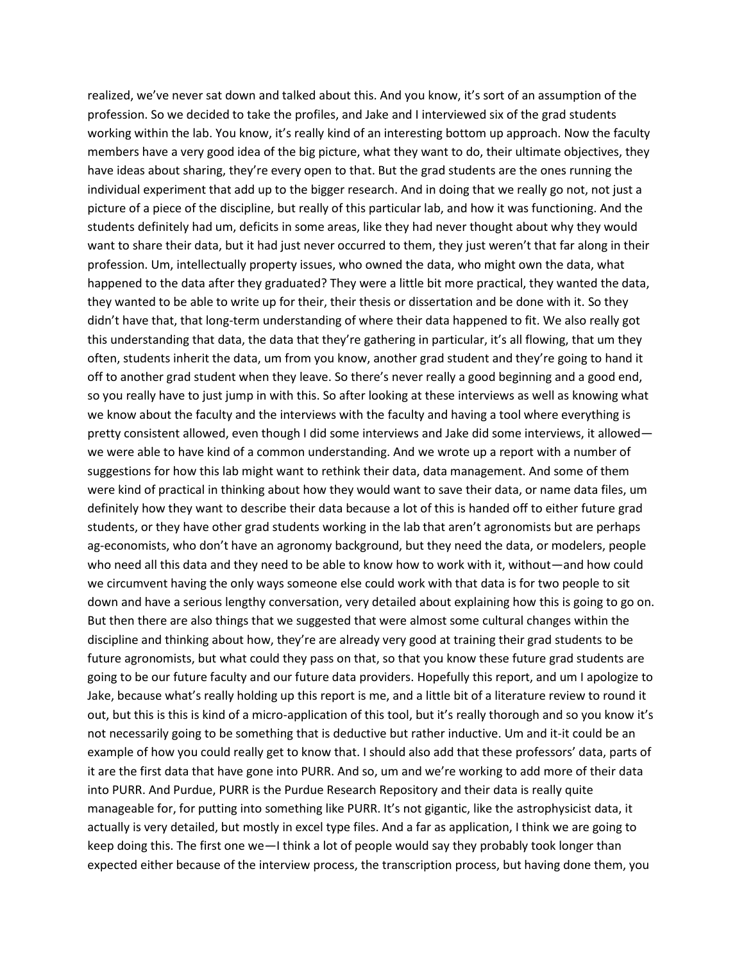realized, we've never sat down and talked about this. And you know, it's sort of an assumption of the profession. So we decided to take the profiles, and Jake and I interviewed six of the grad students working within the lab. You know, it's really kind of an interesting bottom up approach. Now the faculty members have a very good idea of the big picture, what they want to do, their ultimate objectives, they have ideas about sharing, they're every open to that. But the grad students are the ones running the individual experiment that add up to the bigger research. And in doing that we really go not, not just a picture of a piece of the discipline, but really of this particular lab, and how it was functioning. And the students definitely had um, deficits in some areas, like they had never thought about why they would want to share their data, but it had just never occurred to them, they just weren't that far along in their profession. Um, intellectually property issues, who owned the data, who might own the data, what happened to the data after they graduated? They were a little bit more practical, they wanted the data, they wanted to be able to write up for their, their thesis or dissertation and be done with it. So they didn't have that, that long-term understanding of where their data happened to fit. We also really got this understanding that data, the data that they're gathering in particular, it's all flowing, that um they often, students inherit the data, um from you know, another grad student and they're going to hand it off to another grad student when they leave. So there's never really a good beginning and a good end, so you really have to just jump in with this. So after looking at these interviews as well as knowing what we know about the faculty and the interviews with the faculty and having a tool where everything is pretty consistent allowed, even though I did some interviews and Jake did some interviews, it allowed we were able to have kind of a common understanding. And we wrote up a report with a number of suggestions for how this lab might want to rethink their data, data management. And some of them were kind of practical in thinking about how they would want to save their data, or name data files, um definitely how they want to describe their data because a lot of this is handed off to either future grad students, or they have other grad students working in the lab that aren't agronomists but are perhaps ag-economists, who don't have an agronomy background, but they need the data, or modelers, people who need all this data and they need to be able to know how to work with it, without—and how could we circumvent having the only ways someone else could work with that data is for two people to sit down and have a serious lengthy conversation, very detailed about explaining how this is going to go on. But then there are also things that we suggested that were almost some cultural changes within the discipline and thinking about how, they're are already very good at training their grad students to be future agronomists, but what could they pass on that, so that you know these future grad students are going to be our future faculty and our future data providers. Hopefully this report, and um I apologize to Jake, because what's really holding up this report is me, and a little bit of a literature review to round it out, but this is this is kind of a micro-application of this tool, but it's really thorough and so you know it's not necessarily going to be something that is deductive but rather inductive. Um and it-it could be an example of how you could really get to know that. I should also add that these professors' data, parts of it are the first data that have gone into PURR. And so, um and we're working to add more of their data into PURR. And Purdue, PURR is the Purdue Research Repository and their data is really quite manageable for, for putting into something like PURR. It's not gigantic, like the astrophysicist data, it actually is very detailed, but mostly in excel type files. And a far as application, I think we are going to keep doing this. The first one we—I think a lot of people would say they probably took longer than expected either because of the interview process, the transcription process, but having done them, you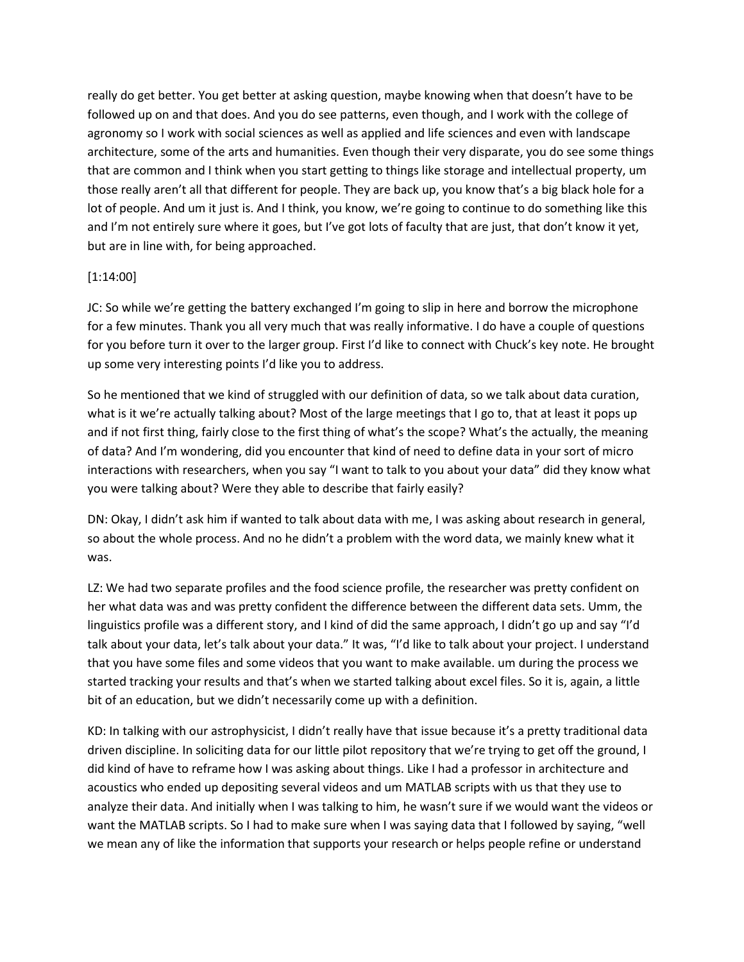really do get better. You get better at asking question, maybe knowing when that doesn't have to be followed up on and that does. And you do see patterns, even though, and I work with the college of agronomy so I work with social sciences as well as applied and life sciences and even with landscape architecture, some of the arts and humanities. Even though their very disparate, you do see some things that are common and I think when you start getting to things like storage and intellectual property, um those really aren't all that different for people. They are back up, you know that's a big black hole for a lot of people. And um it just is. And I think, you know, we're going to continue to do something like this and I'm not entirely sure where it goes, but I've got lots of faculty that are just, that don't know it yet, but are in line with, for being approached.

## [1:14:00]

JC: So while we're getting the battery exchanged I'm going to slip in here and borrow the microphone for a few minutes. Thank you all very much that was really informative. I do have a couple of questions for you before turn it over to the larger group. First I'd like to connect with Chuck's key note. He brought up some very interesting points I'd like you to address.

So he mentioned that we kind of struggled with our definition of data, so we talk about data curation, what is it we're actually talking about? Most of the large meetings that I go to, that at least it pops up and if not first thing, fairly close to the first thing of what's the scope? What's the actually, the meaning of data? And I'm wondering, did you encounter that kind of need to define data in your sort of micro interactions with researchers, when you say "I want to talk to you about your data" did they know what you were talking about? Were they able to describe that fairly easily?

DN: Okay, I didn't ask him if wanted to talk about data with me, I was asking about research in general, so about the whole process. And no he didn't a problem with the word data, we mainly knew what it was.

LZ: We had two separate profiles and the food science profile, the researcher was pretty confident on her what data was and was pretty confident the difference between the different data sets. Umm, the linguistics profile was a different story, and I kind of did the same approach, I didn't go up and say "I'd talk about your data, let's talk about your data." It was, "I'd like to talk about your project. I understand that you have some files and some videos that you want to make available. um during the process we started tracking your results and that's when we started talking about excel files. So it is, again, a little bit of an education, but we didn't necessarily come up with a definition.

KD: In talking with our astrophysicist, I didn't really have that issue because it's a pretty traditional data driven discipline. In soliciting data for our little pilot repository that we're trying to get off the ground, I did kind of have to reframe how I was asking about things. Like I had a professor in architecture and acoustics who ended up depositing several videos and um MATLAB scripts with us that they use to analyze their data. And initially when I was talking to him, he wasn't sure if we would want the videos or want the MATLAB scripts. So I had to make sure when I was saying data that I followed by saying, "well we mean any of like the information that supports your research or helps people refine or understand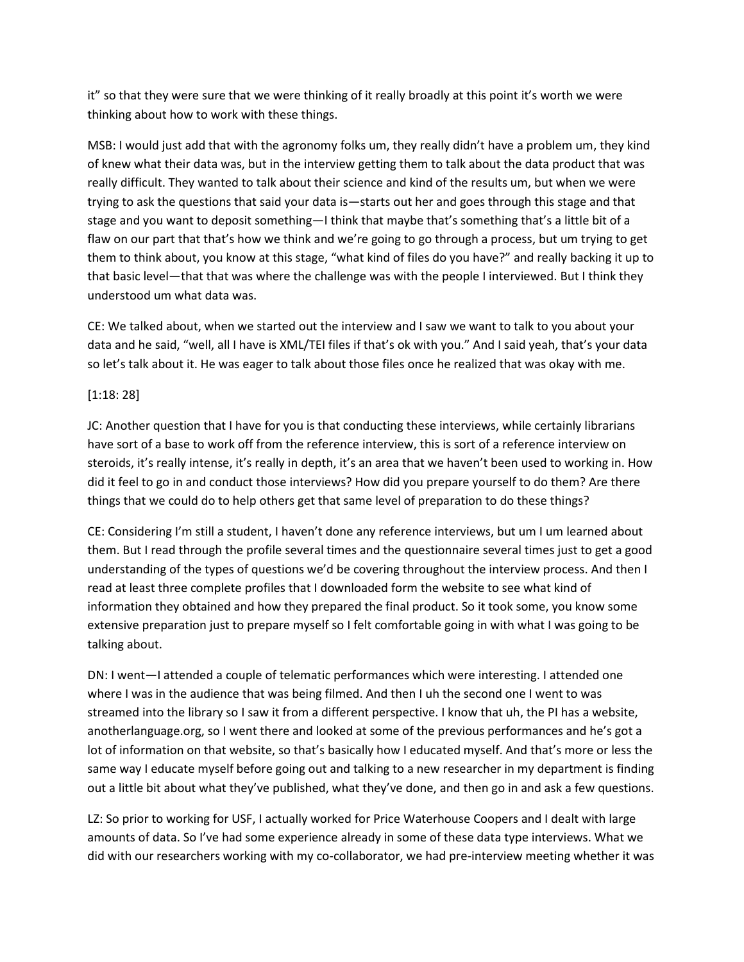it" so that they were sure that we were thinking of it really broadly at this point it's worth we were thinking about how to work with these things.

MSB: I would just add that with the agronomy folks um, they really didn't have a problem um, they kind of knew what their data was, but in the interview getting them to talk about the data product that was really difficult. They wanted to talk about their science and kind of the results um, but when we were trying to ask the questions that said your data is—starts out her and goes through this stage and that stage and you want to deposit something—I think that maybe that's something that's a little bit of a flaw on our part that that's how we think and we're going to go through a process, but um trying to get them to think about, you know at this stage, "what kind of files do you have?" and really backing it up to that basic level—that that was where the challenge was with the people I interviewed. But I think they understood um what data was.

CE: We talked about, when we started out the interview and I saw we want to talk to you about your data and he said, "well, all I have is XML/TEI files if that's ok with you." And I said yeah, that's your data so let's talk about it. He was eager to talk about those files once he realized that was okay with me.

## [1:18: 28]

JC: Another question that I have for you is that conducting these interviews, while certainly librarians have sort of a base to work off from the reference interview, this is sort of a reference interview on steroids, it's really intense, it's really in depth, it's an area that we haven't been used to working in. How did it feel to go in and conduct those interviews? How did you prepare yourself to do them? Are there things that we could do to help others get that same level of preparation to do these things?

CE: Considering I'm still a student, I haven't done any reference interviews, but um I um learned about them. But I read through the profile several times and the questionnaire several times just to get a good understanding of the types of questions we'd be covering throughout the interview process. And then I read at least three complete profiles that I downloaded form the website to see what kind of information they obtained and how they prepared the final product. So it took some, you know some extensive preparation just to prepare myself so I felt comfortable going in with what I was going to be talking about.

DN: I went—I attended a couple of telematic performances which were interesting. I attended one where I was in the audience that was being filmed. And then I uh the second one I went to was streamed into the library so I saw it from a different perspective. I know that uh, the PI has a website, anotherlanguage.org, so I went there and looked at some of the previous performances and he's got a lot of information on that website, so that's basically how I educated myself. And that's more or less the same way I educate myself before going out and talking to a new researcher in my department is finding out a little bit about what they've published, what they've done, and then go in and ask a few questions.

LZ: So prior to working for USF, I actually worked for Price Waterhouse Coopers and I dealt with large amounts of data. So I've had some experience already in some of these data type interviews. What we did with our researchers working with my co-collaborator, we had pre-interview meeting whether it was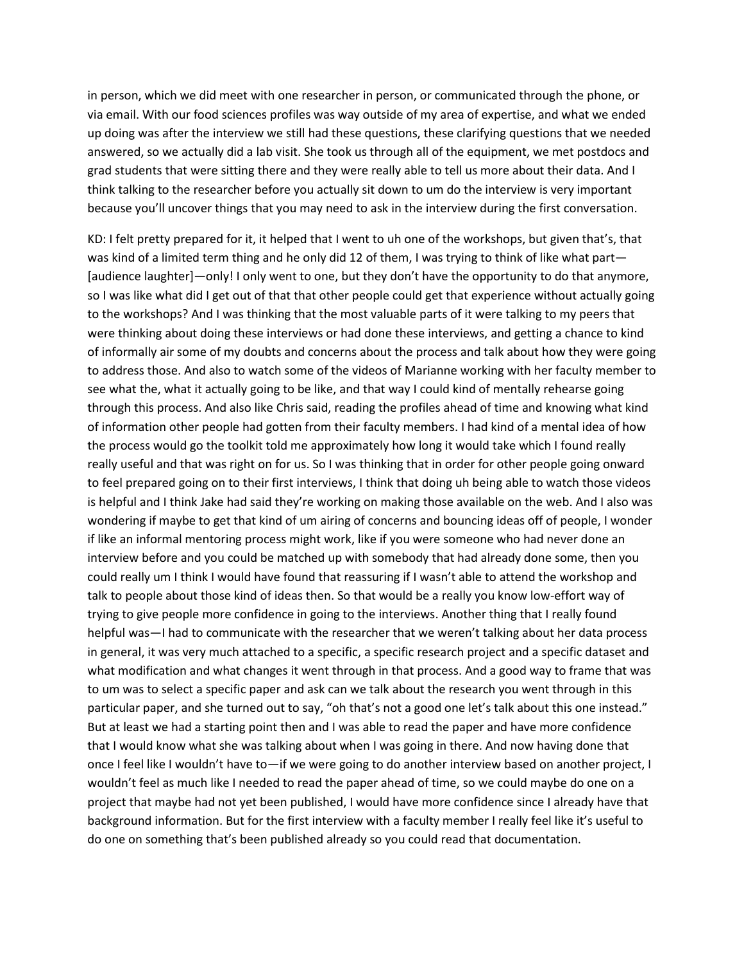in person, which we did meet with one researcher in person, or communicated through the phone, or via email. With our food sciences profiles was way outside of my area of expertise, and what we ended up doing was after the interview we still had these questions, these clarifying questions that we needed answered, so we actually did a lab visit. She took us through all of the equipment, we met postdocs and grad students that were sitting there and they were really able to tell us more about their data. And I think talking to the researcher before you actually sit down to um do the interview is very important because you'll uncover things that you may need to ask in the interview during the first conversation.

KD: I felt pretty prepared for it, it helped that I went to uh one of the workshops, but given that's, that was kind of a limited term thing and he only did 12 of them, I was trying to think of like what part— [audience laughter]—only! I only went to one, but they don't have the opportunity to do that anymore, so I was like what did I get out of that that other people could get that experience without actually going to the workshops? And I was thinking that the most valuable parts of it were talking to my peers that were thinking about doing these interviews or had done these interviews, and getting a chance to kind of informally air some of my doubts and concerns about the process and talk about how they were going to address those. And also to watch some of the videos of Marianne working with her faculty member to see what the, what it actually going to be like, and that way I could kind of mentally rehearse going through this process. And also like Chris said, reading the profiles ahead of time and knowing what kind of information other people had gotten from their faculty members. I had kind of a mental idea of how the process would go the toolkit told me approximately how long it would take which I found really really useful and that was right on for us. So I was thinking that in order for other people going onward to feel prepared going on to their first interviews, I think that doing uh being able to watch those videos is helpful and I think Jake had said they're working on making those available on the web. And I also was wondering if maybe to get that kind of um airing of concerns and bouncing ideas off of people, I wonder if like an informal mentoring process might work, like if you were someone who had never done an interview before and you could be matched up with somebody that had already done some, then you could really um I think I would have found that reassuring if I wasn't able to attend the workshop and talk to people about those kind of ideas then. So that would be a really you know low-effort way of trying to give people more confidence in going to the interviews. Another thing that I really found helpful was—I had to communicate with the researcher that we weren't talking about her data process in general, it was very much attached to a specific, a specific research project and a specific dataset and what modification and what changes it went through in that process. And a good way to frame that was to um was to select a specific paper and ask can we talk about the research you went through in this particular paper, and she turned out to say, "oh that's not a good one let's talk about this one instead." But at least we had a starting point then and I was able to read the paper and have more confidence that I would know what she was talking about when I was going in there. And now having done that once I feel like I wouldn't have to—if we were going to do another interview based on another project, I wouldn't feel as much like I needed to read the paper ahead of time, so we could maybe do one on a project that maybe had not yet been published, I would have more confidence since I already have that background information. But for the first interview with a faculty member I really feel like it's useful to do one on something that's been published already so you could read that documentation.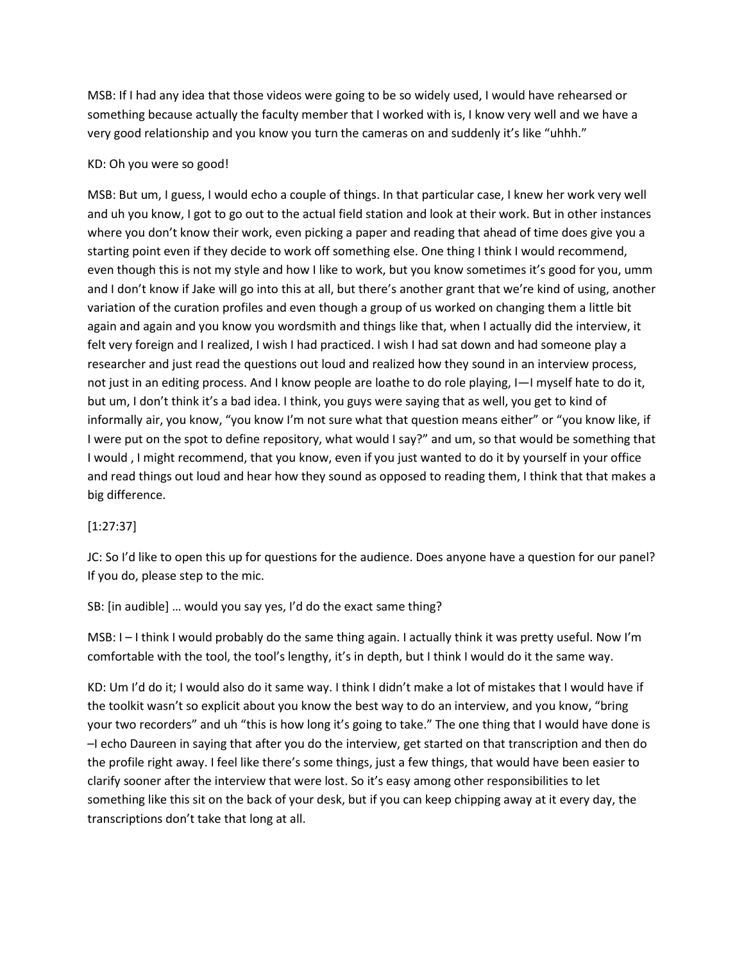MSB: If I had any idea that those videos were going to be so widely used, I would have rehearsed or something because actually the faculty member that I worked with is, I know very well and we have a very good relationship and you know you turn the cameras on and suddenly it's like "uhhh."

### KD: Oh you were so good!

MSB: But um, I guess, I would echo a couple of things. In that particular case, I knew her work very well and uh you know, I got to go out to the actual field station and look at their work. But in other instances where you don't know their work, even picking a paper and reading that ahead of time does give you a starting point even if they decide to work off something else. One thing I think I would recommend, even though this is not my style and how I like to work, but you know sometimes it's good for you, umm and I don't know if Jake will go into this at all, but there's another grant that we're kind of using, another variation of the curation profiles and even though a group of us worked on changing them a little bit again and again and you know you wordsmith and things like that, when I actually did the interview, it felt very foreign and I realized, I wish I had practiced. I wish I had sat down and had someone play a researcher and just read the questions out loud and realized how they sound in an interview process, not just in an editing process. And I know people are loathe to do role playing, I—I myself hate to do it, but um, I don't think it's a bad idea. I think, you guys were saying that as well, you get to kind of informally air, you know, "you know I'm not sure what that question means either" or "you know like, if I were put on the spot to define repository, what would I say?" and um, so that would be something that I would , I might recommend, that you know, even if you just wanted to do it by yourself in your office and read things out loud and hear how they sound as opposed to reading them, I think that that makes a big difference.

# [1:27:37]

JC: So I'd like to open this up for questions for the audience. Does anyone have a question for our panel? If you do, please step to the mic.

SB: [in audible] … would you say yes, I'd do the exact same thing?

MSB: I – I think I would probably do the same thing again. I actually think it was pretty useful. Now I'm comfortable with the tool, the tool's lengthy, it's in depth, but I think I would do it the same way.

KD: Um I'd do it; I would also do it same way. I think I didn't make a lot of mistakes that I would have if the toolkit wasn't so explicit about you know the best way to do an interview, and you know, "bring your two recorders" and uh "this is how long it's going to take." The one thing that I would have done is –I echo Daureen in saying that after you do the interview, get started on that transcription and then do the profile right away. I feel like there's some things, just a few things, that would have been easier to clarify sooner after the interview that were lost. So it's easy among other responsibilities to let something like this sit on the back of your desk, but if you can keep chipping away at it every day, the transcriptions don't take that long at all.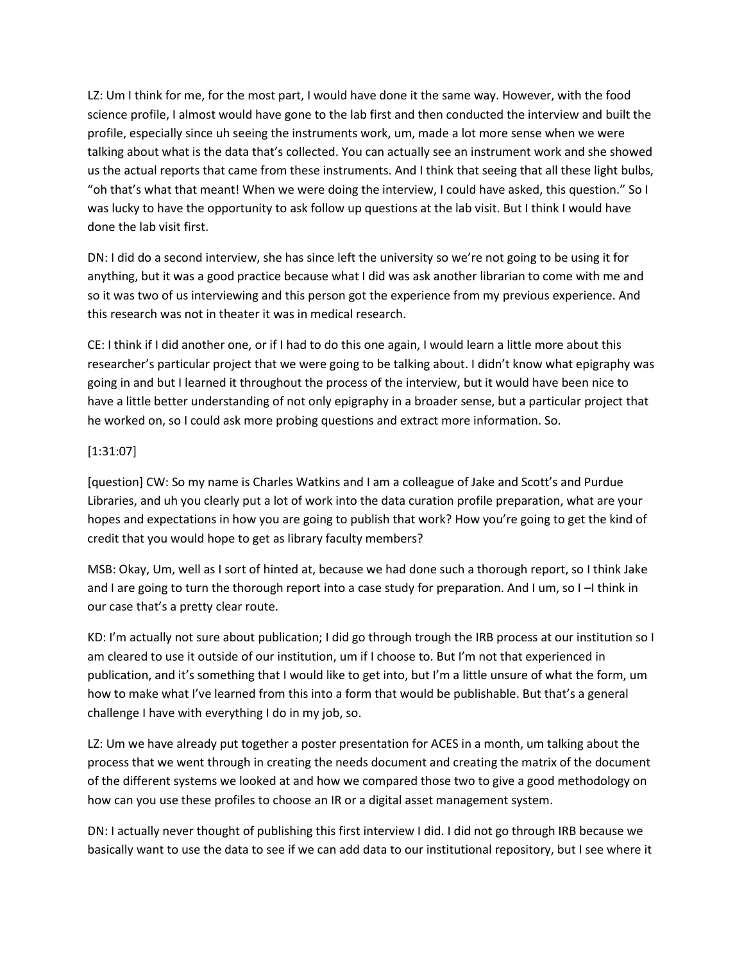LZ: Um I think for me, for the most part, I would have done it the same way. However, with the food science profile, I almost would have gone to the lab first and then conducted the interview and built the profile, especially since uh seeing the instruments work, um, made a lot more sense when we were talking about what is the data that's collected. You can actually see an instrument work and she showed us the actual reports that came from these instruments. And I think that seeing that all these light bulbs, "oh that's what that meant! When we were doing the interview, I could have asked, this question." So I was lucky to have the opportunity to ask follow up questions at the lab visit. But I think I would have done the lab visit first.

DN: I did do a second interview, she has since left the university so we're not going to be using it for anything, but it was a good practice because what I did was ask another librarian to come with me and so it was two of us interviewing and this person got the experience from my previous experience. And this research was not in theater it was in medical research.

CE: I think if I did another one, or if I had to do this one again, I would learn a little more about this researcher's particular project that we were going to be talking about. I didn't know what epigraphy was going in and but I learned it throughout the process of the interview, but it would have been nice to have a little better understanding of not only epigraphy in a broader sense, but a particular project that he worked on, so I could ask more probing questions and extract more information. So.

## [1:31:07]

[question] CW: So my name is Charles Watkins and I am a colleague of Jake and Scott's and Purdue Libraries, and uh you clearly put a lot of work into the data curation profile preparation, what are your hopes and expectations in how you are going to publish that work? How you're going to get the kind of credit that you would hope to get as library faculty members?

MSB: Okay, Um, well as I sort of hinted at, because we had done such a thorough report, so I think Jake and I are going to turn the thorough report into a case study for preparation. And I um, so I -I think in our case that's a pretty clear route.

KD: I'm actually not sure about publication; I did go through trough the IRB process at our institution so I am cleared to use it outside of our institution, um if I choose to. But I'm not that experienced in publication, and it's something that I would like to get into, but I'm a little unsure of what the form, um how to make what I've learned from this into a form that would be publishable. But that's a general challenge I have with everything I do in my job, so.

LZ: Um we have already put together a poster presentation for ACES in a month, um talking about the process that we went through in creating the needs document and creating the matrix of the document of the different systems we looked at and how we compared those two to give a good methodology on how can you use these profiles to choose an IR or a digital asset management system.

DN: I actually never thought of publishing this first interview I did. I did not go through IRB because we basically want to use the data to see if we can add data to our institutional repository, but I see where it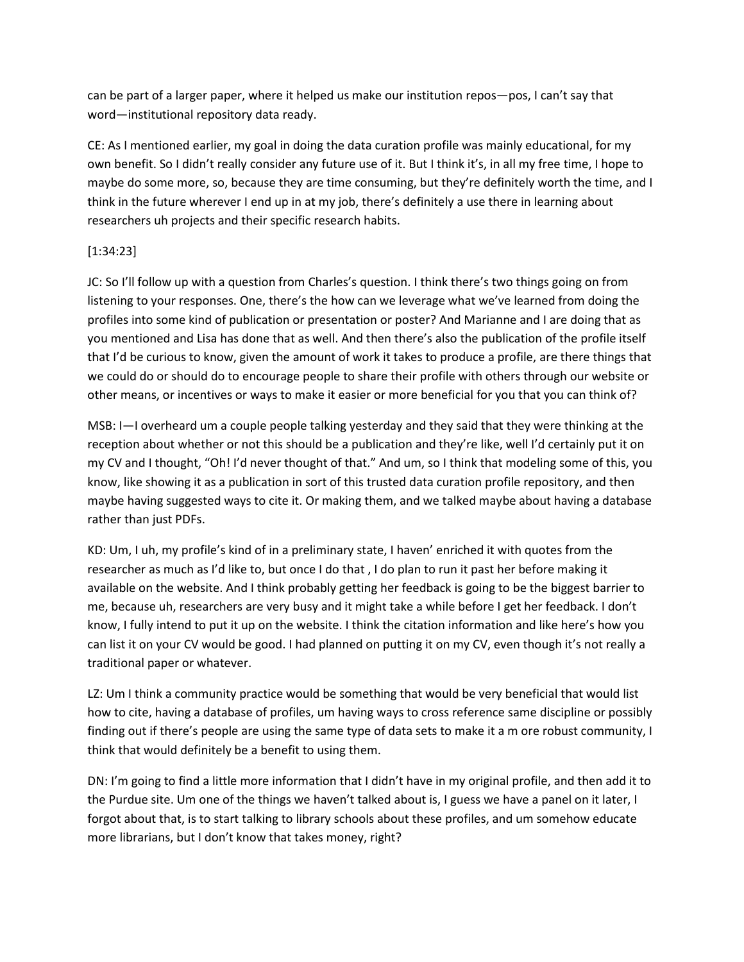can be part of a larger paper, where it helped us make our institution repos—pos, I can't say that word—institutional repository data ready.

CE: As I mentioned earlier, my goal in doing the data curation profile was mainly educational, for my own benefit. So I didn't really consider any future use of it. But I think it's, in all my free time, I hope to maybe do some more, so, because they are time consuming, but they're definitely worth the time, and I think in the future wherever I end up in at my job, there's definitely a use there in learning about researchers uh projects and their specific research habits.

# [1:34:23]

JC: So I'll follow up with a question from Charles's question. I think there's two things going on from listening to your responses. One, there's the how can we leverage what we've learned from doing the profiles into some kind of publication or presentation or poster? And Marianne and I are doing that as you mentioned and Lisa has done that as well. And then there's also the publication of the profile itself that I'd be curious to know, given the amount of work it takes to produce a profile, are there things that we could do or should do to encourage people to share their profile with others through our website or other means, or incentives or ways to make it easier or more beneficial for you that you can think of?

MSB: I—I overheard um a couple people talking yesterday and they said that they were thinking at the reception about whether or not this should be a publication and they're like, well I'd certainly put it on my CV and I thought, "Oh! I'd never thought of that." And um, so I think that modeling some of this, you know, like showing it as a publication in sort of this trusted data curation profile repository, and then maybe having suggested ways to cite it. Or making them, and we talked maybe about having a database rather than just PDFs.

KD: Um, I uh, my profile's kind of in a preliminary state, I haven' enriched it with quotes from the researcher as much as I'd like to, but once I do that , I do plan to run it past her before making it available on the website. And I think probably getting her feedback is going to be the biggest barrier to me, because uh, researchers are very busy and it might take a while before I get her feedback. I don't know, I fully intend to put it up on the website. I think the citation information and like here's how you can list it on your CV would be good. I had planned on putting it on my CV, even though it's not really a traditional paper or whatever.

LZ: Um I think a community practice would be something that would be very beneficial that would list how to cite, having a database of profiles, um having ways to cross reference same discipline or possibly finding out if there's people are using the same type of data sets to make it a m ore robust community, I think that would definitely be a benefit to using them.

DN: I'm going to find a little more information that I didn't have in my original profile, and then add it to the Purdue site. Um one of the things we haven't talked about is, I guess we have a panel on it later, I forgot about that, is to start talking to library schools about these profiles, and um somehow educate more librarians, but I don't know that takes money, right?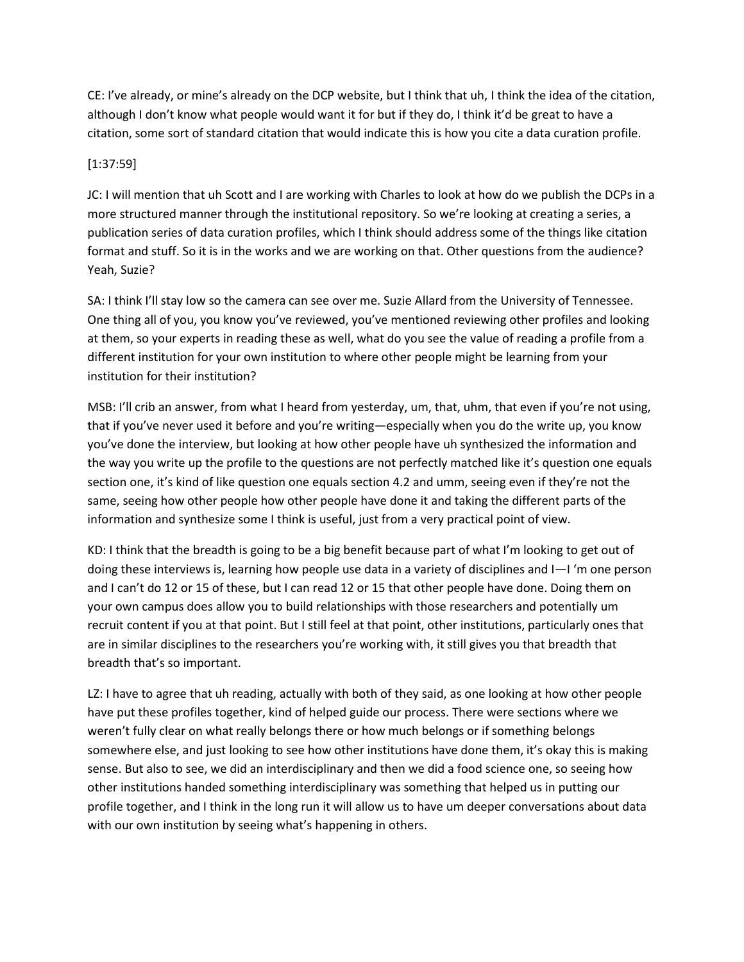CE: I've already, or mine's already on the DCP website, but I think that uh, I think the idea of the citation, although I don't know what people would want it for but if they do, I think it'd be great to have a citation, some sort of standard citation that would indicate this is how you cite a data curation profile.

# [1:37:59]

JC: I will mention that uh Scott and I are working with Charles to look at how do we publish the DCPs in a more structured manner through the institutional repository. So we're looking at creating a series, a publication series of data curation profiles, which I think should address some of the things like citation format and stuff. So it is in the works and we are working on that. Other questions from the audience? Yeah, Suzie?

SA: I think I'll stay low so the camera can see over me. Suzie Allard from the University of Tennessee. One thing all of you, you know you've reviewed, you've mentioned reviewing other profiles and looking at them, so your experts in reading these as well, what do you see the value of reading a profile from a different institution for your own institution to where other people might be learning from your institution for their institution?

MSB: I'll crib an answer, from what I heard from yesterday, um, that, uhm, that even if you're not using, that if you've never used it before and you're writing—especially when you do the write up, you know you've done the interview, but looking at how other people have uh synthesized the information and the way you write up the profile to the questions are not perfectly matched like it's question one equals section one, it's kind of like question one equals section 4.2 and umm, seeing even if they're not the same, seeing how other people how other people have done it and taking the different parts of the information and synthesize some I think is useful, just from a very practical point of view.

KD: I think that the breadth is going to be a big benefit because part of what I'm looking to get out of doing these interviews is, learning how people use data in a variety of disciplines and I—I 'm one person and I can't do 12 or 15 of these, but I can read 12 or 15 that other people have done. Doing them on your own campus does allow you to build relationships with those researchers and potentially um recruit content if you at that point. But I still feel at that point, other institutions, particularly ones that are in similar disciplines to the researchers you're working with, it still gives you that breadth that breadth that's so important.

LZ: I have to agree that uh reading, actually with both of they said, as one looking at how other people have put these profiles together, kind of helped guide our process. There were sections where we weren't fully clear on what really belongs there or how much belongs or if something belongs somewhere else, and just looking to see how other institutions have done them, it's okay this is making sense. But also to see, we did an interdisciplinary and then we did a food science one, so seeing how other institutions handed something interdisciplinary was something that helped us in putting our profile together, and I think in the long run it will allow us to have um deeper conversations about data with our own institution by seeing what's happening in others.